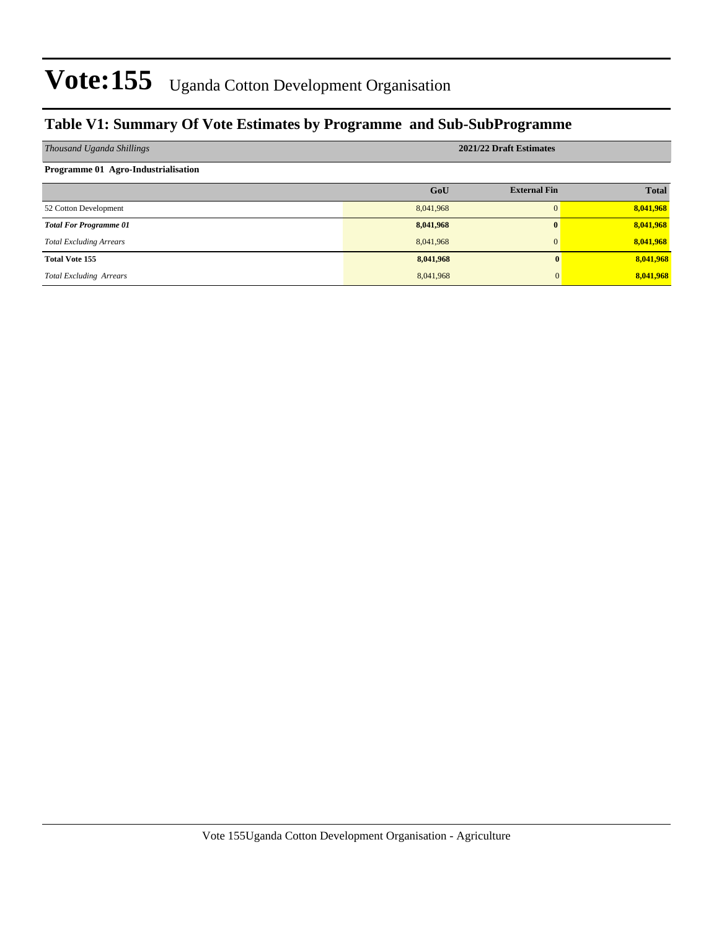### **Table V1: Summary Of Vote Estimates by Programme and Sub-SubProgramme**

| Thousand Uganda Shillings           |           | 2021/22 Draft Estimates |              |
|-------------------------------------|-----------|-------------------------|--------------|
| Programme 01 Agro-Industrialisation |           |                         |              |
|                                     | GoU       | <b>External Fin</b>     | <b>Total</b> |
| 52 Cotton Development               | 8,041,968 | $\Omega$                | 8,041,968    |
| <b>Total For Programme 01</b>       | 8,041,968 | $\bf{0}$                | 8,041,968    |
| <b>Total Excluding Arrears</b>      | 8,041,968 | $\Omega$                | 8,041,968    |
| <b>Total Vote 155</b>               | 8,041,968 |                         | 8,041,968    |
| <b>Total Excluding Arrears</b>      | 8,041,968 |                         | 8,041,968    |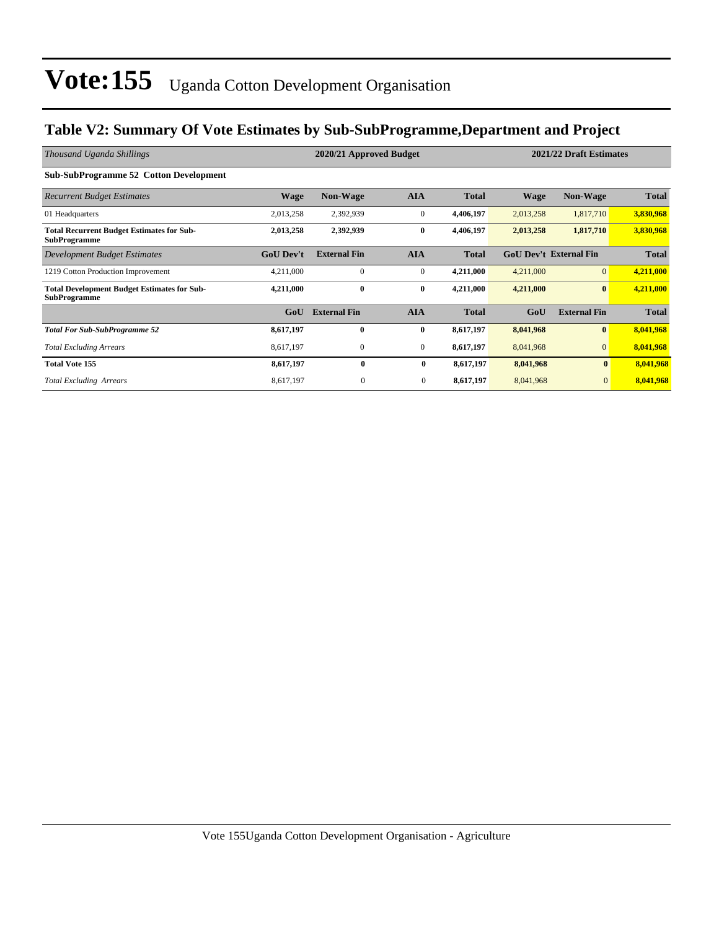### **Table V2: Summary Of Vote Estimates by Sub-SubProgramme,Department and Project**

| Thousand Uganda Shillings                                                 |                  | 2020/21 Approved Budget |                  |              |                               | 2021/22 Draft Estimates |              |  |
|---------------------------------------------------------------------------|------------------|-------------------------|------------------|--------------|-------------------------------|-------------------------|--------------|--|
| <b>Sub-SubProgramme 52 Cotton Development</b>                             |                  |                         |                  |              |                               |                         |              |  |
| <b>Recurrent Budget Estimates</b>                                         | <b>Wage</b>      | <b>Non-Wage</b>         | <b>AIA</b>       | <b>Total</b> | Wage                          | <b>Non-Wage</b>         | <b>Total</b> |  |
| 01 Headquarters                                                           | 2,013,258        | 2,392,939               | $\mathbf{0}$     | 4,406,197    | 2,013,258                     | 1,817,710               | 3,830,968    |  |
| <b>Total Recurrent Budget Estimates for Sub-</b><br><b>SubProgramme</b>   | 2,013,258        | 2,392,939               | $\bf{0}$         | 4,406,197    | 2,013,258                     | 1,817,710               | 3,830,968    |  |
| Development Budget Estimates                                              | <b>GoU Dev't</b> | <b>External Fin</b>     | <b>AIA</b>       | <b>Total</b> | <b>GoU Dev't External Fin</b> |                         | <b>Total</b> |  |
| 1219 Cotton Production Improvement                                        | 4,211,000        | $\mathbf{0}$            | $\mathbf{0}$     | 4,211,000    | 4,211,000                     | $\overline{0}$          | 4,211,000    |  |
| <b>Total Development Budget Estimates for Sub-</b><br><b>SubProgramme</b> | 4,211,000        | $\bf{0}$                | $\bf{0}$         | 4,211,000    | 4,211,000                     | $\bf{0}$                | 4,211,000    |  |
|                                                                           | GoU              | <b>External Fin</b>     | <b>AIA</b>       | <b>Total</b> | GoU                           | <b>External Fin</b>     | <b>Total</b> |  |
| <b>Total For Sub-SubProgramme 52</b>                                      | 8,617,197        | $\bf{0}$                | $\bf{0}$         | 8,617,197    | 8,041,968                     | $\bf{0}$                | 8,041,968    |  |
| <b>Total Excluding Arrears</b>                                            | 8,617,197        | $\boldsymbol{0}$        | $\boldsymbol{0}$ | 8,617,197    | 8,041,968                     | $\overline{0}$          | 8,041,968    |  |
| <b>Total Vote 155</b>                                                     | 8,617,197        | $\mathbf{0}$            | $\bf{0}$         | 8,617,197    | 8,041,968                     | $\bf{0}$                | 8,041,968    |  |
| <b>Total Excluding Arrears</b>                                            | 8,617,197        | $\mathbf{0}$            | $\mathbf{0}$     | 8,617,197    | 8,041,968                     | $\mathbf{0}$            | 8,041,968    |  |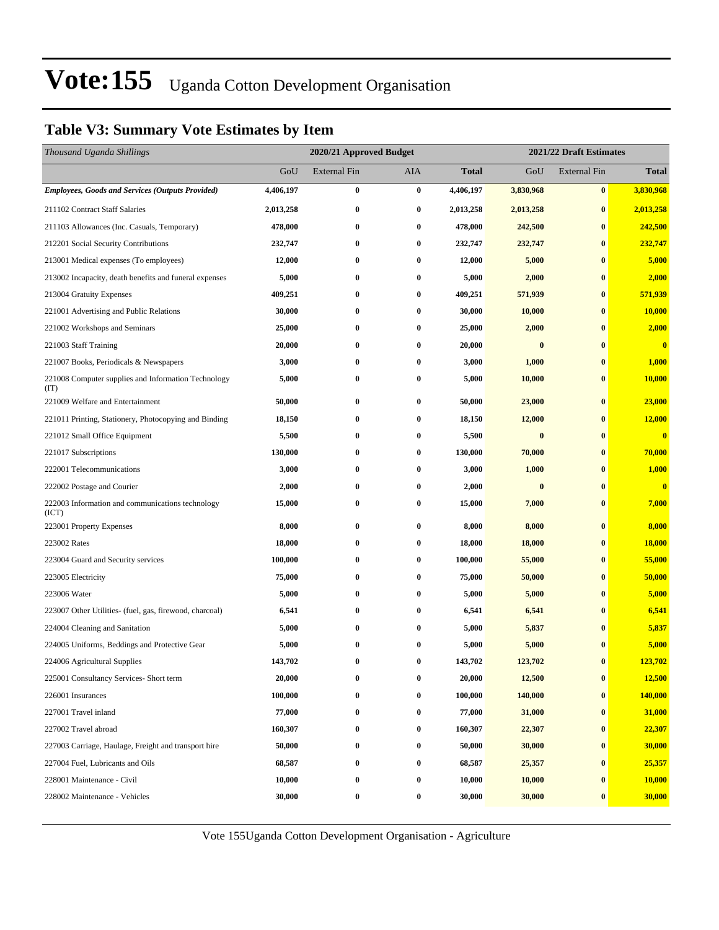### **Table V3: Summary Vote Estimates by Item**

| Thousand Uganda Shillings                                   |           | 2020/21 Approved Budget |                  |              |           | 2021/22 Draft Estimates |                         |
|-------------------------------------------------------------|-----------|-------------------------|------------------|--------------|-----------|-------------------------|-------------------------|
|                                                             | GoU       | External Fin            | AIA              | <b>Total</b> | GoU       | <b>External Fin</b>     | <b>Total</b>            |
| <b>Employees, Goods and Services (Outputs Provided)</b>     | 4,406,197 | $\bf{0}$                | $\bf{0}$         | 4,406,197    | 3,830,968 | $\bf{0}$                | 3,830,968               |
| 211102 Contract Staff Salaries                              | 2,013,258 | $\bf{0}$                | 0                | 2,013,258    | 2,013,258 | $\bf{0}$                | 2,013,258               |
| 211103 Allowances (Inc. Casuals, Temporary)                 | 478,000   | $\bf{0}$                | $\bf{0}$         | 478,000      | 242,500   | $\bf{0}$                | 242,500                 |
| 212201 Social Security Contributions                        | 232,747   | $\bf{0}$                | $\bf{0}$         | 232,747      | 232,747   | $\bf{0}$                | 232,747                 |
| 213001 Medical expenses (To employees)                      | 12,000    | $\bf{0}$                | $\bf{0}$         | 12,000       | 5,000     | $\bf{0}$                | 5,000                   |
| 213002 Incapacity, death benefits and funeral expenses      | 5,000     | $\bf{0}$                | $\bf{0}$         | 5,000        | 2,000     | $\bf{0}$                | 2,000                   |
| 213004 Gratuity Expenses                                    | 409,251   | $\bf{0}$                | 0                | 409,251      | 571,939   | $\bf{0}$                | 571,939                 |
| 221001 Advertising and Public Relations                     | 30,000    | $\bf{0}$                | $\bf{0}$         | 30,000       | 10,000    | $\bf{0}$                | 10,000                  |
| 221002 Workshops and Seminars                               | 25,000    | $\bf{0}$                | $\bf{0}$         | 25,000       | 2,000     | $\bf{0}$                | 2,000                   |
| 221003 Staff Training                                       | 20,000    | $\bf{0}$                | 0                | 20,000       | $\bf{0}$  | $\bf{0}$                | $\overline{\mathbf{0}}$ |
| 221007 Books, Periodicals & Newspapers                      | 3,000     | $\bf{0}$                | $\bf{0}$         | 3,000        | 1,000     | $\bf{0}$                | 1,000                   |
| 221008 Computer supplies and Information Technology<br>(TT) | 5,000     | $\bf{0}$                | 0                | 5,000        | 10,000    | $\bf{0}$                | 10,000                  |
| 221009 Welfare and Entertainment                            | 50,000    | $\bf{0}$                | $\bf{0}$         | 50,000       | 23,000    | $\bf{0}$                | 23,000                  |
| 221011 Printing, Stationery, Photocopying and Binding       | 18,150    | $\bf{0}$                | $\bf{0}$         | 18,150       | 12,000    | $\bf{0}$                | 12,000                  |
| 221012 Small Office Equipment                               | 5,500     | $\bf{0}$                | 0                | 5,500        | $\bf{0}$  | $\bf{0}$                | $\bf{0}$                |
| 221017 Subscriptions                                        | 130,000   | $\bf{0}$                | $\bf{0}$         | 130,000      | 70,000    | $\bf{0}$                | 70,000                  |
| 222001 Telecommunications                                   | 3,000     | $\bf{0}$                | $\bf{0}$         | 3,000        | 1,000     | $\bf{0}$                | 1,000                   |
| 222002 Postage and Courier                                  | 2,000     | $\bf{0}$                | $\bf{0}$         | 2,000        | $\bf{0}$  | $\bf{0}$                | $\mathbf{0}$            |
| 222003 Information and communications technology<br>(ICT)   | 15,000    | $\bf{0}$                | $\bf{0}$         | 15,000       | 7,000     | $\bf{0}$                | 7,000                   |
| 223001 Property Expenses                                    | 8,000     | $\bf{0}$                | $\bf{0}$         | 8,000        | 8,000     | $\bf{0}$                | 8,000                   |
| 223002 Rates                                                | 18,000    | $\bf{0}$                | $\bf{0}$         | 18,000       | 18,000    | $\bf{0}$                | 18,000                  |
| 223004 Guard and Security services                          | 100,000   | $\bf{0}$                | $\bf{0}$         | 100,000      | 55,000    | $\bf{0}$                | 55,000                  |
| 223005 Electricity                                          | 75,000    | $\bf{0}$                | 0                | 75,000       | 50,000    | $\bf{0}$                | 50,000                  |
| 223006 Water                                                | 5,000     | $\bf{0}$                | 0                | 5,000        | 5,000     | $\bf{0}$                | 5,000                   |
| 223007 Other Utilities- (fuel, gas, firewood, charcoal)     | 6,541     | $\bf{0}$                | 0                | 6,541        | 6,541     | $\bf{0}$                | 6,541                   |
| 224004 Cleaning and Sanitation                              | 5,000     | $\bf{0}$                | $\bf{0}$         | 5,000        | 5,837     | $\bf{0}$                | 5,837                   |
| 224005 Uniforms, Beddings and Protective Gear               | 5,000     | $\bf{0}$                | $\bf{0}$         | 5,000        | 5,000     | $\bf{0}$                | 5,000                   |
| 224006 Agricultural Supplies                                | 143.702   | $\bf{0}$                | 0                | 143,702      | 123,702   | $\bf{0}$                | 123,702                 |
| 225001 Consultancy Services- Short term                     | 20,000    | $\bf{0}$                | $\bf{0}$         | 20,000       | 12,500    | $\bf{0}$                | 12,500                  |
| 226001 Insurances                                           | 100,000   | $\bf{0}$                | $\bf{0}$         | 100,000      | 140,000   | $\bf{0}$                | 140,000                 |
| 227001 Travel inland                                        | 77,000    | $\bf{0}$                | $\bf{0}$         | 77,000       | 31,000    | $\bf{0}$                | 31,000                  |
| 227002 Travel abroad                                        | 160,307   | $\bf{0}$                | $\bf{0}$         | 160,307      | 22,307    | $\bf{0}$                | 22,307                  |
| 227003 Carriage, Haulage, Freight and transport hire        | 50,000    | $\bf{0}$                | $\boldsymbol{0}$ | 50,000       | 30,000    | $\bf{0}$                | 30,000                  |
| 227004 Fuel, Lubricants and Oils                            | 68,587    | $\bf{0}$                | $\bf{0}$         | 68,587       | 25,357    | $\bf{0}$                | 25,357                  |
| 228001 Maintenance - Civil                                  | 10,000    | $\bf{0}$                | $\bf{0}$         | 10,000       | 10,000    | $\bf{0}$                | 10,000                  |
| 228002 Maintenance - Vehicles                               | 30,000    | $\boldsymbol{0}$        | $\boldsymbol{0}$ | 30,000       | 30,000    | $\bf{0}$                | 30,000                  |

Vote 155Uganda Cotton Development Organisation - Agriculture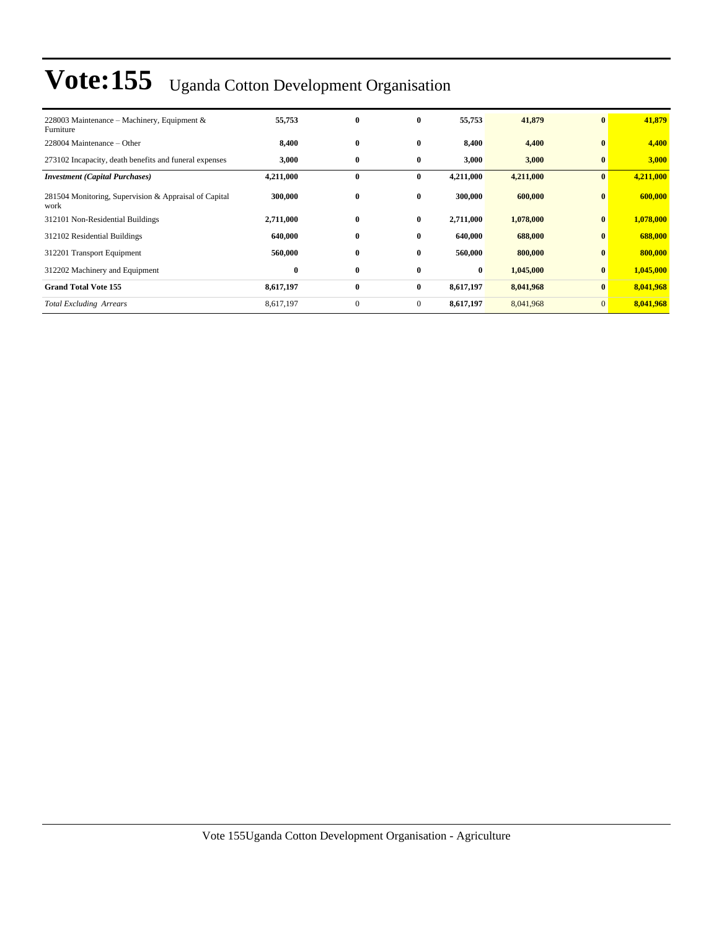| 228003 Maintenance – Machinery, Equipment $\&$<br>Furniture   | 55,753    | $\bf{0}$     | $\bf{0}$       | 55,753    | 41,879    | $\mathbf{0}$   | 41,879    |
|---------------------------------------------------------------|-----------|--------------|----------------|-----------|-----------|----------------|-----------|
| 228004 Maintenance – Other                                    | 8,400     | $\bf{0}$     | $\bf{0}$       | 8,400     | 4,400     | $\mathbf{0}$   | 4,400     |
| 273102 Incapacity, death benefits and funeral expenses        | 3,000     | $\bf{0}$     | $\bf{0}$       | 3,000     | 3,000     | $\bf{0}$       | 3,000     |
| <b>Investment</b> (Capital Purchases)                         | 4,211,000 | $\bf{0}$     | $\bf{0}$       | 4,211,000 | 4,211,000 | $\bf{0}$       | 4,211,000 |
| 281504 Monitoring, Supervision & Appraisal of Capital<br>work | 300,000   | $\bf{0}$     | $\bf{0}$       | 300,000   | 600,000   | $\bf{0}$       | 600,000   |
| 312101 Non-Residential Buildings                              | 2,711,000 | $\bf{0}$     | $\bf{0}$       | 2,711,000 | 1,078,000 | $\bf{0}$       | 1,078,000 |
| 312102 Residential Buildings                                  | 640,000   | $\bf{0}$     | $\bf{0}$       | 640,000   | 688,000   | $\bf{0}$       | 688,000   |
| 312201 Transport Equipment                                    | 560,000   | $\bf{0}$     | $\bf{0}$       | 560,000   | 800,000   | $\bf{0}$       | 800,000   |
| 312202 Machinery and Equipment                                | $\bf{0}$  | $\bf{0}$     | $\bf{0}$       | $\bf{0}$  | 1,045,000 | $\bf{0}$       | 1,045,000 |
| <b>Grand Total Vote 155</b>                                   | 8,617,197 | $\bf{0}$     | $\bf{0}$       | 8,617,197 | 8,041,968 | $\mathbf{0}$   | 8,041,968 |
| <b>Total Excluding Arrears</b>                                | 8,617,197 | $\mathbf{0}$ | $\overline{0}$ | 8,617,197 | 8,041,968 | $\overline{0}$ | 8,041,968 |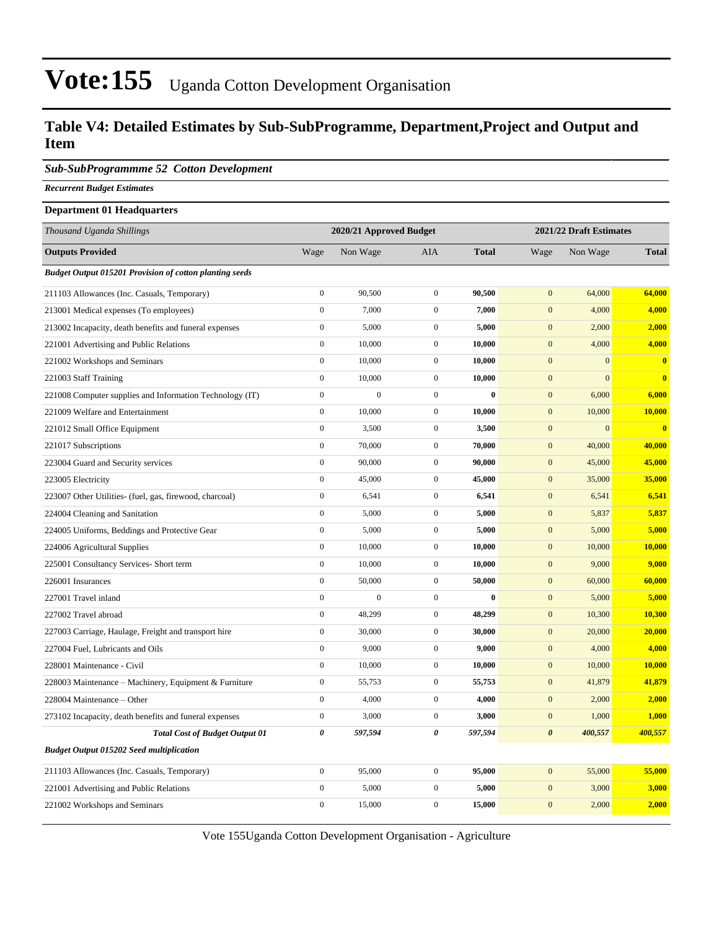#### **Table V4: Detailed Estimates by Sub-SubProgramme, Department,Project and Output and Item**

#### *Sub-SubProgrammme 52 Cotton Development*

*Recurrent Budget Estimates*

#### **Department 01 Headquarters**

| Thousand Uganda Shillings                                      |                  | 2020/21 Approved Budget |                  |              |                       | 2021/22 Draft Estimates |               |
|----------------------------------------------------------------|------------------|-------------------------|------------------|--------------|-----------------------|-------------------------|---------------|
| <b>Outputs Provided</b>                                        | Wage             | Non Wage                | <b>AIA</b>       | <b>Total</b> | Wage                  | Non Wage                | <b>Total</b>  |
| <b>Budget Output 015201 Provision of cotton planting seeds</b> |                  |                         |                  |              |                       |                         |               |
| 211103 Allowances (Inc. Casuals, Temporary)                    | $\boldsymbol{0}$ | 90,500                  | $\boldsymbol{0}$ | 90,500       | $\boldsymbol{0}$      | 64,000                  | 64,000        |
| 213001 Medical expenses (To employees)                         | $\boldsymbol{0}$ | 7,000                   | $\boldsymbol{0}$ | 7,000        | $\mathbf{0}$          | 4,000                   | 4,000         |
| 213002 Incapacity, death benefits and funeral expenses         | $\boldsymbol{0}$ | 5,000                   | $\mathbf{0}$     | 5,000        | $\mathbf{0}$          | 2,000                   | 2,000         |
| 221001 Advertising and Public Relations                        | $\boldsymbol{0}$ | 10,000                  | $\mathbf{0}$     | 10,000       | $\mathbf{0}$          | 4,000                   | 4,000         |
| 221002 Workshops and Seminars                                  | $\boldsymbol{0}$ | 10,000                  | $\boldsymbol{0}$ | 10,000       | $\mathbf{0}$          | $\overline{0}$          | $\bf{0}$      |
| 221003 Staff Training                                          | $\boldsymbol{0}$ | 10,000                  | $\boldsymbol{0}$ | 10,000       | $\boldsymbol{0}$      | $\overline{0}$          | $\bf{0}$      |
| 221008 Computer supplies and Information Technology (IT)       | $\boldsymbol{0}$ | $\overline{0}$          | $\mathbf{0}$     | $\bf{0}$     | $\mathbf{0}$          | 6,000                   | 6,000         |
| 221009 Welfare and Entertainment                               | $\mathbf{0}$     | 10,000                  | $\boldsymbol{0}$ | 10,000       | $\boldsymbol{0}$      | 10,000                  | <b>10,000</b> |
| 221012 Small Office Equipment                                  | $\boldsymbol{0}$ | 3,500                   | $\mathbf{0}$     | 3,500        | $\mathbf{0}$          | $\mathbf{0}$            | $\bf{0}$      |
| 221017 Subscriptions                                           | $\boldsymbol{0}$ | 70,000                  | $\boldsymbol{0}$ | 70,000       | $\boldsymbol{0}$      | 40,000                  | 40,000        |
| 223004 Guard and Security services                             | $\boldsymbol{0}$ | 90,000                  | $\mathbf 0$      | 90,000       | $\mathbf{0}$          | 45,000                  | 45,000        |
| 223005 Electricity                                             | $\boldsymbol{0}$ | 45,000                  | $\mathbf{0}$     | 45,000       | $\mathbf{0}$          | 35,000                  | 35,000        |
| 223007 Other Utilities- (fuel, gas, firewood, charcoal)        | $\boldsymbol{0}$ | 6,541                   | $\boldsymbol{0}$ | 6,541        | $\boldsymbol{0}$      | 6,541                   | 6,541         |
| 224004 Cleaning and Sanitation                                 | $\boldsymbol{0}$ | 5,000                   | $\mathbf 0$      | 5,000        | $\mathbf{0}$          | 5,837                   | 5,837         |
| 224005 Uniforms, Beddings and Protective Gear                  | $\boldsymbol{0}$ | 5,000                   | $\boldsymbol{0}$ | 5,000        | $\boldsymbol{0}$      | 5,000                   | 5,000         |
| 224006 Agricultural Supplies                                   | $\boldsymbol{0}$ | 10,000                  | $\mathbf 0$      | 10,000       | $\mathbf{0}$          | 10,000                  | 10,000        |
| 225001 Consultancy Services- Short term                        | $\boldsymbol{0}$ | 10,000                  | $\mathbf{0}$     | 10,000       | $\boldsymbol{0}$      | 9,000                   | 9,000         |
| 226001 Insurances                                              | $\overline{0}$   | 50,000                  | $\boldsymbol{0}$ | 50,000       | $\boldsymbol{0}$      | 60,000                  | 60,000        |
| 227001 Travel inland                                           | $\boldsymbol{0}$ | $\overline{0}$          | $\boldsymbol{0}$ | $\bf{0}$     | $\mathbf{0}$          | 5,000                   | 5,000         |
| 227002 Travel abroad                                           | $\boldsymbol{0}$ | 48,299                  | $\mathbf{0}$     | 48,299       | $\boldsymbol{0}$      | 10,300                  | 10,300        |
| 227003 Carriage, Haulage, Freight and transport hire           | $\boldsymbol{0}$ | 30,000                  | $\mathbf{0}$     | 30,000       | $\mathbf{0}$          | 20,000                  | 20,000        |
| 227004 Fuel, Lubricants and Oils                               | $\boldsymbol{0}$ | 9,000                   | $\mathbf{0}$     | 9,000        | $\mathbf{0}$          | 4,000                   | 4,000         |
| 228001 Maintenance - Civil                                     | $\overline{0}$   | 10,000                  | $\mathbf 0$      | 10,000       | $\mathbf{0}$          | 10,000                  | 10,000        |
| 228003 Maintenance – Machinery, Equipment & Furniture          | $\boldsymbol{0}$ | 55,753                  | $\mathbf{0}$     | 55,753       | $\mathbf{0}$          | 41,879                  | 41,879        |
| 228004 Maintenance – Other                                     | $\boldsymbol{0}$ | 4,000                   | $\boldsymbol{0}$ | 4,000        | $\boldsymbol{0}$      | 2,000                   | 2,000         |
| 273102 Incapacity, death benefits and funeral expenses         | $\boldsymbol{0}$ | 3,000                   | $\mathbf{0}$     | 3,000        | $\mathbf{0}$          | 1,000                   | 1,000         |
| <b>Total Cost of Budget Output 01</b>                          | $\pmb{\theta}$   | 597,594                 | $\pmb{\theta}$   | 597,594      | $\boldsymbol{\theta}$ | 400,557                 | 400,557       |
| <b>Budget Output 015202 Seed multiplication</b>                |                  |                         |                  |              |                       |                         |               |
| 211103 Allowances (Inc. Casuals, Temporary)                    | $\boldsymbol{0}$ | 95,000                  | $\mathbf{0}$     | 95,000       | $\mathbf{0}$          | 55,000                  | 55,000        |
| 221001 Advertising and Public Relations                        | $\boldsymbol{0}$ | 5,000                   | $\boldsymbol{0}$ | 5,000        | $\boldsymbol{0}$      | 3,000                   | 3,000         |
| 221002 Workshops and Seminars                                  | $\overline{0}$   | 15,000                  | $\mathbf{0}$     | 15,000       | $\mathbf{0}$          | 2,000                   | 2,000         |

Vote 155Uganda Cotton Development Organisation - Agriculture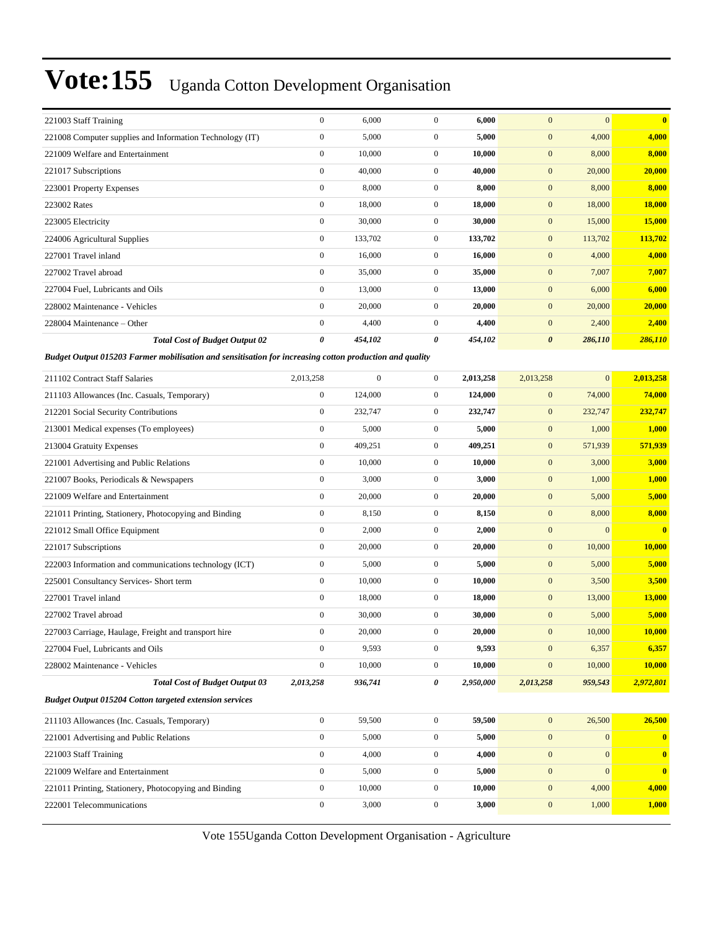| 221003 Staff Training            |                                                          | $\overline{0}$ | 6,000   | 0              | 6,000   | $\overline{0}$        | $\Omega$ | $\mathbf{0}$ |
|----------------------------------|----------------------------------------------------------|----------------|---------|----------------|---------|-----------------------|----------|--------------|
|                                  | 221008 Computer supplies and Information Technology (IT) | $\overline{0}$ | 5,000   | $\mathbf{0}$   | 5,000   | $\mathbf{0}$          | 4,000    | 4,000        |
| 221009 Welfare and Entertainment |                                                          | $\overline{0}$ | 10,000  | $\mathbf{0}$   | 10,000  | $\mathbf{0}$          | 8,000    | 8,000        |
| 221017 Subscriptions             |                                                          | $\mathbf{0}$   | 40,000  | $\mathbf{0}$   | 40,000  | $\mathbf{0}$          | 20,000   | 20,000       |
| 223001 Property Expenses         |                                                          | $\overline{0}$ | 8,000   | $\mathbf{0}$   | 8,000   | $\mathbf{0}$          | 8,000    | 8,000        |
| 223002 Rates                     |                                                          | $\overline{0}$ | 18,000  | $\mathbf{0}$   | 18,000  | $\mathbf{0}$          | 18,000   | 18,000       |
| 223005 Electricity               |                                                          | $\overline{0}$ | 30,000  | $\mathbf{0}$   | 30,000  | $\mathbf{0}$          | 15,000   | 15,000       |
| 224006 Agricultural Supplies     |                                                          | $\overline{0}$ | 133,702 | $\overline{0}$ | 133,702 | $\overline{0}$        | 113,702  | 113,702      |
| 227001 Travel inland             |                                                          | $\overline{0}$ | 16,000  | $\mathbf{0}$   | 16,000  | $\mathbf{0}$          | 4,000    | 4,000        |
| 227002 Travel abroad             |                                                          | $\overline{0}$ | 35,000  | $\mathbf{0}$   | 35,000  | $\mathbf{0}$          | 7,007    | 7,007        |
| 227004 Fuel, Lubricants and Oils |                                                          | $\overline{0}$ | 13,000  | $\mathbf{0}$   | 13,000  | $\overline{0}$        | 6,000    | 6,000        |
| 228002 Maintenance - Vehicles    |                                                          | $\mathbf{0}$   | 20,000  | $\mathbf{0}$   | 20,000  | $\mathbf{0}$          | 20,000   | 20,000       |
| 228004 Maintenance – Other       |                                                          | $\overline{0}$ | 4,400   | $\mathbf{0}$   | 4,400   | $\mathbf{0}$          | 2,400    | 2,400        |
|                                  | <b>Total Cost of Budget Output 02</b>                    | 0              | 454,102 | 0              | 454,102 | $\boldsymbol{\theta}$ | 286,110  | 286,110      |

*Budget Output 015203 Farmer mobilisation and sensitisation for increasing cotton production and quality*

| 211102 Contract Staff Salaries                                 | 2,013,258        | $\Omega$ | $\mathbf{0}$     | 2,013,258 | 2,013,258        | $\mathbf{0}$ | 2,013,258               |
|----------------------------------------------------------------|------------------|----------|------------------|-----------|------------------|--------------|-------------------------|
| 211103 Allowances (Inc. Casuals, Temporary)                    | $\overline{0}$   | 124,000  | $\mathbf{0}$     | 124,000   | $\boldsymbol{0}$ | 74,000       | 74,000                  |
| 212201 Social Security Contributions                           | $\overline{0}$   | 232,747  | $\mathbf{0}$     | 232,747   | $\mathbf{0}$     | 232,747      | 232,747                 |
| 213001 Medical expenses (To employees)                         | $\overline{0}$   | 5,000    | $\mathbf{0}$     | 5.000     | $\mathbf{0}$     | 1,000        | 1,000                   |
| 213004 Gratuity Expenses                                       | $\overline{0}$   | 409,251  | $\mathbf{0}$     | 409,251   | $\overline{0}$   | 571,939      | 571,939                 |
| 221001 Advertising and Public Relations                        | $\overline{0}$   | 10.000   | $\mathbf{0}$     | 10.000    | $\overline{0}$   | 3,000        | 3,000                   |
| 221007 Books, Periodicals & Newspapers                         | $\overline{0}$   | 3,000    | $\boldsymbol{0}$ | 3,000     | $\mathbf{0}$     | 1,000        | 1,000                   |
| 221009 Welfare and Entertainment                               | $\overline{0}$   | 20,000   | $\mathbf{0}$     | 20,000    | $\boldsymbol{0}$ | 5,000        | 5,000                   |
| 221011 Printing, Stationery, Photocopying and Binding          | $\overline{0}$   | 8,150    | $\mathbf{0}$     | 8,150     | $\mathbf{0}$     | 8,000        | 8,000                   |
| 221012 Small Office Equipment                                  | $\boldsymbol{0}$ | 2,000    | $\mathbf{0}$     | 2,000     | $\mathbf{0}$     | $\mathbf{0}$ | $\overline{\mathbf{0}}$ |
| 221017 Subscriptions                                           | $\overline{0}$   | 20,000   | $\mathbf{0}$     | 20,000    | $\mathbf{0}$     | 10,000       | 10,000                  |
| 222003 Information and communications technology (ICT)         | $\overline{0}$   | 5,000    | $\mathbf{0}$     | 5,000     | $\mathbf{0}$     | 5,000        | 5,000                   |
| 225001 Consultancy Services- Short term                        | $\overline{0}$   | 10,000   | $\mathbf{0}$     | 10,000    | $\mathbf{0}$     | 3,500        | 3,500                   |
| 227001 Travel inland                                           | $\overline{0}$   | 18,000   | $\mathbf{0}$     | 18,000    | $\mathbf{0}$     | 13,000       | 13,000                  |
| 227002 Travel abroad                                           | $\overline{0}$   | 30,000   | $\mathbf{0}$     | 30,000    | $\mathbf{0}$     | 5,000        | 5,000                   |
| 227003 Carriage, Haulage, Freight and transport hire           | $\overline{0}$   | 20,000   | $\mathbf{0}$     | 20,000    | $\mathbf{0}$     | 10,000       | 10,000                  |
| 227004 Fuel, Lubricants and Oils                               | $\overline{0}$   | 9,593    | $\mathbf{0}$     | 9,593     | $\overline{0}$   | 6,357        | 6,357                   |
| 228002 Maintenance - Vehicles                                  | $\overline{0}$   | 10,000   | $\mathbf{0}$     | 10,000    | $\overline{0}$   | 10,000       | 10,000                  |
| <b>Total Cost of Budget Output 03</b>                          | 2,013,258        | 936,741  | 0                | 2,950,000 | 2,013,258        | 959,543      | 2,972,801               |
| <b>Budget Output 015204 Cotton targeted extension services</b> |                  |          |                  |           |                  |              |                         |
| 211103 Allowances (Inc. Casuals, Temporary)                    | $\overline{0}$   | 59,500   | $\mathbf{0}$     | 59,500    | $\overline{0}$   | 26,500       | 26,500                  |
| 221001 Advertising and Public Relations                        | $\Omega$         | 5,000    | $\mathbf{0}$     | 5,000     | $\overline{0}$   | $\mathbf{0}$ | $\mathbf{0}$            |
| 221003 Staff Training                                          | $\overline{0}$   | 4,000    | $\mathbf{0}$     | 4,000     | $\overline{0}$   | $\Omega$     | $\bf{0}$                |
| 221009 Welfare and Entertainment                               | $\overline{0}$   | 5,000    | $\mathbf{0}$     | 5,000     | $\mathbf{0}$     | $\Omega$     | $\mathbf{0}$            |
| 221011 Printing, Stationery, Photocopying and Binding          | $\overline{0}$   | 10,000   | $\mathbf{0}$     | 10,000    | $\mathbf{0}$     | 4,000        | 4,000                   |
| 222001 Telecommunications                                      | $\overline{0}$   | 3,000    | $\mathbf{0}$     | 3,000     | $\mathbf{0}$     | 1,000        | 1,000                   |
|                                                                |                  |          |                  |           |                  |              |                         |

Vote 155Uganda Cotton Development Organisation - Agriculture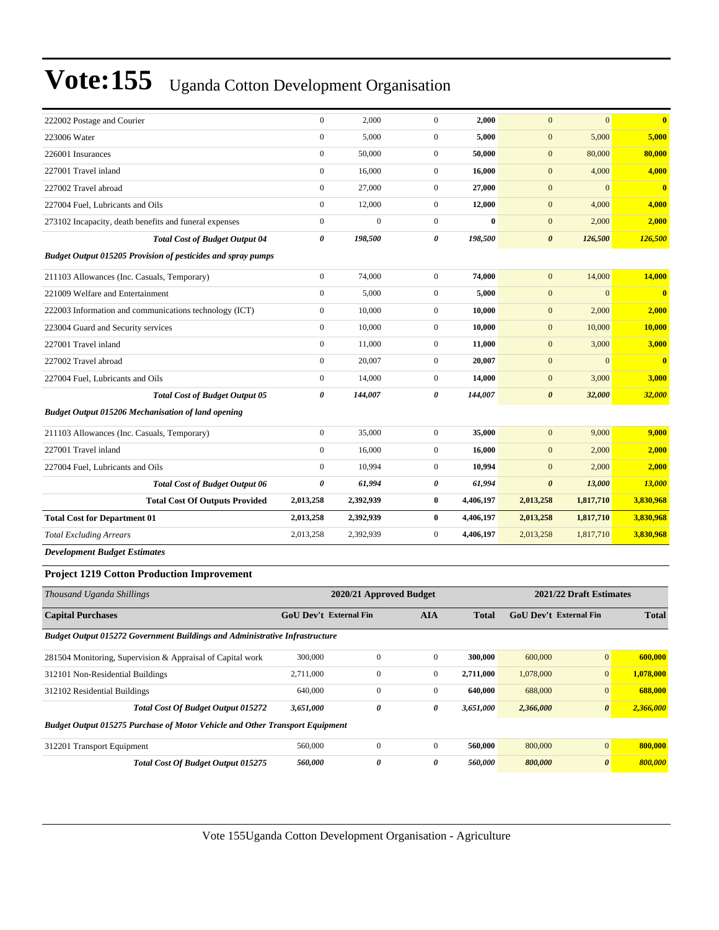| 222002 Postage and Courier                                          | $\mathbf{0}$          | 2,000        | $\mathbf{0}$   | 2,000     | $\mathbf{0}$          | $\mathbf{0}$ | $\mathbf{0}$            |
|---------------------------------------------------------------------|-----------------------|--------------|----------------|-----------|-----------------------|--------------|-------------------------|
| 223006 Water                                                        | $\boldsymbol{0}$      | 5,000        | $\overline{0}$ | 5,000     | $\mathbf{0}$          | 5,000        | 5,000                   |
| 226001 Insurances                                                   | $\mathbf{0}$          | 50,000       | $\overline{0}$ | 50,000    | $\mathbf{0}$          | 80,000       | 80,000                  |
| 227001 Travel inland                                                | $\mathbf{0}$          | 16.000       | $\overline{0}$ | 16,000    | $\mathbf{0}$          | 4,000        | 4,000                   |
| 227002 Travel abroad                                                | $\boldsymbol{0}$      | 27,000       | $\overline{0}$ | 27,000    | $\mathbf{0}$          | $\mathbf{0}$ | $\overline{\mathbf{0}}$ |
| 227004 Fuel, Lubricants and Oils                                    | $\boldsymbol{0}$      | 12,000       | $\overline{0}$ | 12,000    | $\boldsymbol{0}$      | 4,000        | 4,000                   |
| 273102 Incapacity, death benefits and funeral expenses              | $\boldsymbol{0}$      | $\mathbf{0}$ | $\overline{0}$ | $\bf{0}$  | $\boldsymbol{0}$      | 2,000        | 2,000                   |
| <b>Total Cost of Budget Output 04</b>                               | 0                     | 198,500      | 0              | 198,500   | $\boldsymbol{\theta}$ | 126,500      | 126,500                 |
| <b>Budget Output 015205 Provision of pesticides and spray pumps</b> |                       |              |                |           |                       |              |                         |
| 211103 Allowances (Inc. Casuals, Temporary)                         | $\boldsymbol{0}$      | 74,000       | $\overline{0}$ | 74,000    | $\mathbf{0}$          | 14,000       | 14,000                  |
| 221009 Welfare and Entertainment                                    | $\mathbf{0}$          | 5,000        | $\overline{0}$ | 5,000     | $\mathbf{0}$          | $\Omega$     | $\mathbf{0}$            |
| 222003 Information and communications technology (ICT)              | $\mathbf{0}$          | 10,000       | $\overline{0}$ | 10,000    | $\mathbf{0}$          | 2,000        | 2,000                   |
| 223004 Guard and Security services                                  | $\boldsymbol{0}$      | 10,000       | $\overline{0}$ | 10,000    | $\mathbf{0}$          | 10,000       | 10,000                  |
| 227001 Travel inland                                                | $\mathbf{0}$          | 11,000       | $\overline{0}$ | 11,000    | $\mathbf{0}$          | 3,000        | 3,000                   |
| 227002 Travel abroad                                                | $\mathbf{0}$          | 20,007       | $\overline{0}$ | 20,007    | $\mathbf{0}$          | $\mathbf{0}$ | $\overline{\mathbf{0}}$ |
| 227004 Fuel, Lubricants and Oils                                    | $\boldsymbol{0}$      | 14,000       | $\overline{0}$ | 14,000    | $\boldsymbol{0}$      | 3,000        | 3,000                   |
| <b>Total Cost of Budget Output 05</b>                               | $\boldsymbol{\theta}$ | 144,007      | 0              | 144,007   | $\boldsymbol{\theta}$ | 32,000       | 32,000                  |
| <b>Budget Output 015206 Mechanisation of land opening</b>           |                       |              |                |           |                       |              |                         |
| 211103 Allowances (Inc. Casuals, Temporary)                         | $\mathbf{0}$          | 35,000       | $\overline{0}$ | 35,000    | $\mathbf{0}$          | 9,000        | 9,000                   |
| 227001 Travel inland                                                | $\mathbf{0}$          | 16,000       | $\overline{0}$ | 16,000    | $\mathbf{0}$          | 2,000        | 2,000                   |
| 227004 Fuel, Lubricants and Oils                                    | $\mathbf{0}$          | 10,994       | $\overline{0}$ | 10,994    | $\mathbf{0}$          | 2,000        | 2,000                   |
| <b>Total Cost of Budget Output 06</b>                               | 0                     | 61,994       | 0              | 61,994    | $\boldsymbol{\theta}$ | 13,000       | 13,000                  |
| <b>Total Cost Of Outputs Provided</b>                               | 2,013,258             | 2,392,939    | $\bf{0}$       | 4,406,197 | 2,013,258             | 1,817,710    | 3,830,968               |
| <b>Total Cost for Department 01</b>                                 | 2,013,258             | 2,392,939    | $\bf{0}$       | 4,406,197 | 2,013,258             | 1,817,710    | 3,830,968               |
| <b>Total Excluding Arrears</b>                                      | 2,013,258             | 2,392,939    | $\overline{0}$ | 4,406,197 | 2,013,258             | 1,817,710    | 3,830,968               |
| <b>Development Budget Estimates</b>                                 |                       |              |                |           |                       |              |                         |
| <b>Project 1219 Cotton Production Improvement</b>                   |                       |              |                |           |                       |              |                         |

| Thousand Uganda Shillings                                                           | 2021/22 Draft Estimates<br>2020/21 Approved Budget |              |                |              |                               |                       |              |
|-------------------------------------------------------------------------------------|----------------------------------------------------|--------------|----------------|--------------|-------------------------------|-----------------------|--------------|
| <b>Capital Purchases</b>                                                            | <b>GoU Dev't External Fin</b>                      |              | <b>AIA</b>     | <b>Total</b> | <b>GoU</b> Dev't External Fin |                       | <b>Total</b> |
| <b>Budget Output 015272 Government Buildings and Administrative Infrastructure</b>  |                                                    |              |                |              |                               |                       |              |
| 281504 Monitoring, Supervision & Appraisal of Capital work                          | 300,000                                            | $\Omega$     | $\Omega$       | 300,000      | 600,000                       | $\overline{0}$        | 600,000      |
| 312101 Non-Residential Buildings                                                    | 2,711,000                                          | $\mathbf{0}$ | $\mathbf{0}$   | 2,711,000    | 1,078,000                     | $\overline{0}$        | 1,078,000    |
| 312102 Residential Buildings                                                        | 640,000                                            | $\mathbf{0}$ | $\mathbf{0}$   | 640,000      | 688,000                       | $\overline{0}$        | 688,000      |
| <b>Total Cost Of Budget Output 015272</b>                                           | 3,651,000                                          | 0            | 0              | 3,651,000    | 2,366,000                     | $\boldsymbol{\theta}$ | 2,366,000    |
| <b>Budget Output 015275 Purchase of Motor Vehicle and Other Transport Equipment</b> |                                                    |              |                |              |                               |                       |              |
| 312201 Transport Equipment                                                          | 560,000                                            | $\mathbf{0}$ | $\overline{0}$ | 560,000      | 800,000                       | $\mathbf{0}$          | 800,000      |
| <b>Total Cost Of Budget Output 015275</b>                                           | 560,000                                            | 0            | 0              | 560,000      | 800,000                       | $\boldsymbol{\theta}$ | 800,000      |